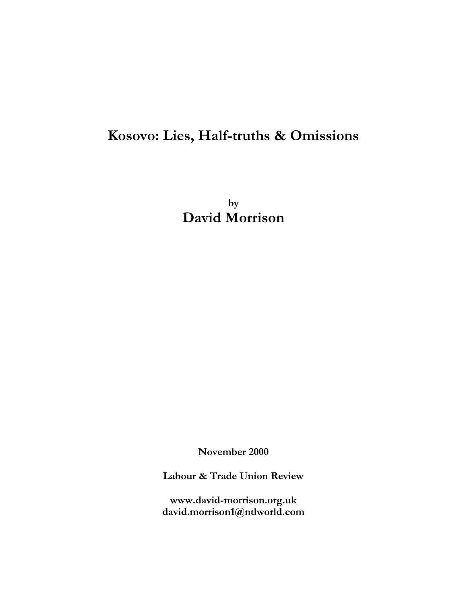# **Kosovo: Lies, Half-truths & Omissions**

**by David Morrison**

**November 2000**

**Labour & Trade Union Review**

**www.david-morrison.org.uk david.morrison1@ntlworld.com**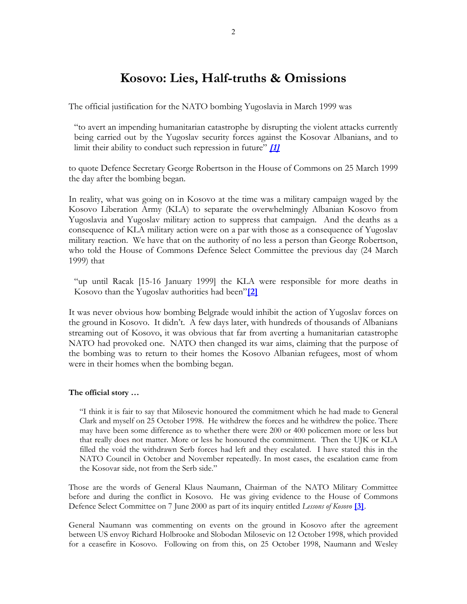# **Kosovo: Lies, Half-truths & Omissions**

The official justification for the NATO bombing Yugoslavia in March 1999 was

"to avert an impending humanitarian catastrophe by disrupting the violent attacks currently being carried out by the Yugoslav security forces against the Kosovar Albanians, and to limit their ability to conduct such repression in future" **[\[1\]](http://www.publications.parliament.uk/pa/cm199899/cmhansrd/vo990325/debtext/90325-33.htm)** 

to quote Defence Secretary George Robertson in the House of Commons on 25 March 1999 the day after the bombing began.

In reality, what was going on in Kosovo at the time was a military campaign waged by the Kosovo Liberation Army (KLA) to separate the overwhelmingly Albanian Kosovo from Yugoslavia and Yugoslav military action to suppress that campaign. And the deaths as a consequence of KLA military action were on a par with those as a consequence of Yugoslav military reaction. We have that on the authority of no less a person than George Robertson, who told the House of Commons Defence Select Committee the previous day (24 March 1999) that

"up until Racak [15-16 January 1999] the KLA were responsible for more deaths in Kosovo than the Yugoslav authorities had been"**[\[2\]](http://www.parliament.the-stationery-office.co.uk/pa/cm199899/cmselect/cmdfence/39/9032403.htm)**

It was never obvious how bombing Belgrade would inhibit the action of Yugoslav forces on the ground in Kosovo. It didn't. A few days later, with hundreds of thousands of Albanians streaming out of Kosovo, it was obvious that far from averting a humanitarian catastrophe NATO had provoked one. NATO then changed its war aims, claiming that the purpose of the bombing was to return to their homes the Kosovo Albanian refugees, most of whom were in their homes when the bombing began.

# **The official story …**

"I think it is fair to say that Milosevic honoured the commitment which he had made to General Clark and myself on 25 October 1998. He withdrew the forces and he withdrew the police. There may have been some difference as to whether there were 200 or 400 policemen more or less but that really does not matter. More or less he honoured the commitment. Then the UJK or KLA filled the void the withdrawn Serb forces had left and they escalated. I have stated this in the NATO Council in October and November repeatedly. In most cases, the escalation came from the Kosovar side, not from the Serb side."

Those are the words of General Klaus Naumann, Chairman of the NATO Military Committee before and during the conflict in Kosovo. He was giving evidence to the House of Commons Defence Select Committee on 7 June 2000 as part of its inquiry entitled *Lessons of Kosovo* **[\[3\]](http://www.parliament.the-stationery-office.co.uk/pa/cm199900/cmselect/cmdfence/347/0060702.htm)**.

General Naumann was commenting on events on the ground in Kosovo after the agreement between US envoy Richard Holbrooke and Slobodan Milosevic on 12 October 1998, which provided for a ceasefire in Kosovo. Following on from this, on 25 October 1998, Naumann and Wesley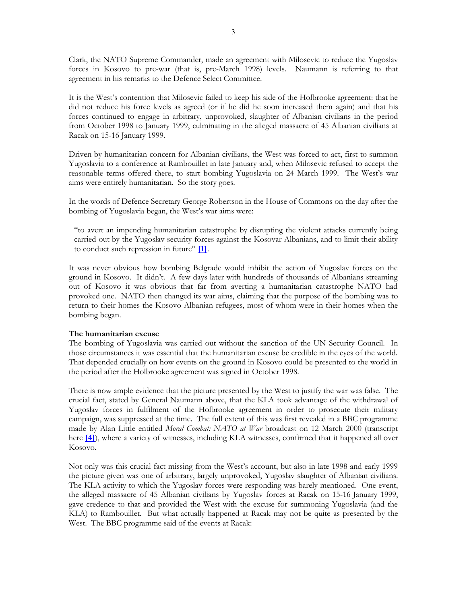Clark, the NATO Supreme Commander, made an agreement with Milosevic to reduce the Yugoslav forces in Kosovo to pre-war (that is, pre-March 1998) levels. Naumann is referring to that agreement in his remarks to the Defence Select Committee.

It is the West's contention that Milosevic failed to keep his side of the Holbrooke agreement: that he did not reduce his force levels as agreed (or if he did he soon increased them again) and that his forces continued to engage in arbitrary, unprovoked, slaughter of Albanian civilians in the period from October 1998 to January 1999, culminating in the alleged massacre of 45 Albanian civilians at Racak on 15-16 January 1999.

Driven by humanitarian concern for Albanian civilians, the West was forced to act, first to summon Yugoslavia to a conference at Rambouillet in late January and, when Milosevic refused to accept the reasonable terms offered there, to start bombing Yugoslavia on 24 March 1999. The West's war aims were entirely humanitarian. So the story goes.

In the words of Defence Secretary George Robertson in the House of Commons on the day after the bombing of Yugoslavia began, the West's war aims were:

"to avert an impending humanitarian catastrophe by disrupting the violent attacks currently being carried out by the Yugoslav security forces against the Kosovar Albanians, and to limit their ability to conduct such repression in future" **[\[1\]](http://www.publications.parliament.uk/pa/cm199899/cmhansrd/vo990325/debtext/90325-33.htm)**.

It was never obvious how bombing Belgrade would inhibit the action of Yugoslav forces on the ground in Kosovo. It didn't. A few days later with hundreds of thousands of Albanians streaming out of Kosovo it was obvious that far from averting a humanitarian catastrophe NATO had provoked one. NATO then changed its war aims, claiming that the purpose of the bombing was to return to their homes the Kosovo Albanian refugees, most of whom were in their homes when the bombing began.

#### **The humanitarian excuse**

The bombing of Yugoslavia was carried out without the sanction of the UN Security Council. In those circumstances it was essential that the humanitarian excuse be credible in the eyes of the world. That depended crucially on how events on the ground in Kosovo could be presented to the world in the period after the Holbrooke agreement was signed in October 1998.

There is now ample evidence that the picture presented by the West to justify the war was false. The crucial fact, stated by General Naumann above, that the KLA took advantage of the withdrawal of Yugoslav forces in fulfilment of the Holbrooke agreement in order to prosecute their military campaign, was suppressed at the time. The full extent of this was first revealed in a BBC programme made by Alan Little entitled *Moral Combat: NATO at War* broadcast on 12 March 2000 (transcript here **[\[4\]](http://news.bbc.co.uk/hi/english/static/events/panorama/transcripts/transcript_12_03_00.txt)**), where a variety of witnesses, including KLA witnesses, confirmed that it happened all over Kosovo.

Not only was this crucial fact missing from the West's account, but also in late 1998 and early 1999 the picture given was one of arbitrary, largely unprovoked, Yugoslav slaughter of Albanian civilians. The KLA activity to which the Yugoslav forces were responding was barely mentioned. One event, the alleged massacre of 45 Albanian civilians by Yugoslav forces at Racak on 15-16 January 1999, gave credence to that and provided the West with the excuse for summoning Yugoslavia (and the KLA) to Rambouillet. But what actually happened at Racak may not be quite as presented by the West. The BBC programme said of the events at Racak: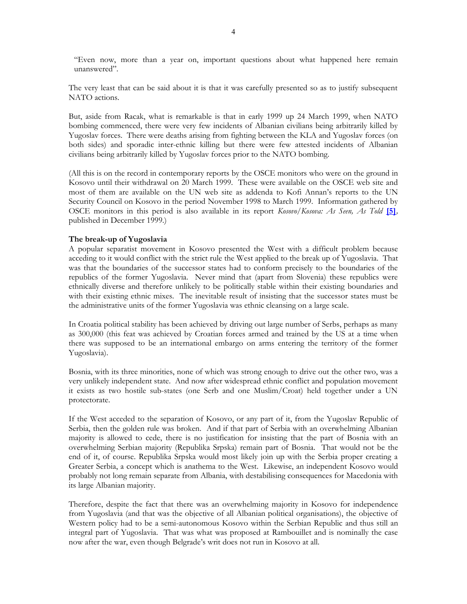"Even now, more than a year on, important questions about what happened here remain unanswered".

The very least that can be said about it is that it was carefully presented so as to justify subsequent NATO actions.

But, aside from Racak, what is remarkable is that in early 1999 up 24 March 1999, when NATO bombing commenced, there were very few incidents of Albanian civilians being arbitrarily killed by Yugoslav forces. There were deaths arising from fighting between the KLA and Yugoslav forces (on both sides) and sporadic inter-ethnic killing but there were few attested incidents of Albanian civilians being arbitrarily killed by Yugoslav forces prior to the NATO bombing.

(All this is on the record in contemporary reports by the OSCE monitors who were on the ground in Kosovo until their withdrawal on 20 March 1999. These were available on the OSCE web site and most of them are available on the UN web site as addenda to Kofi Annan's reports to the UN Security Council on Kosovo in the period November 1998 to March 1999. Information gathered by OSCE monitors in this period is also available in its report *Kosovo/Kosova: As Seen, As Told* **[\[5\]](http://www.osce.org/publications/odihr/1999/11/17755_506_en.pdf)***,* published in December 1999.)

## **The break-up of Yugoslavia**

A popular separatist movement in Kosovo presented the West with a difficult problem because acceding to it would conflict with the strict rule the West applied to the break up of Yugoslavia. That was that the boundaries of the successor states had to conform precisely to the boundaries of the republics of the former Yugoslavia. Never mind that (apart from Slovenia) these republics were ethnically diverse and therefore unlikely to be politically stable within their existing boundaries and with their existing ethnic mixes. The inevitable result of insisting that the successor states must be the administrative units of the former Yugoslavia was ethnic cleansing on a large scale.

In Croatia political stability has been achieved by driving out large number of Serbs, perhaps as many as 300,000 (this feat was achieved by Croatian forces armed and trained by the US at a time when there was supposed to be an international embargo on arms entering the territory of the former Yugoslavia).

Bosnia, with its three minorities, none of which was strong enough to drive out the other two, was a very unlikely independent state. And now after widespread ethnic conflict and population movement it exists as two hostile sub-states (one Serb and one Muslim/Croat) held together under a UN protectorate.

If the West acceded to the separation of Kosovo, or any part of it, from the Yugoslav Republic of Serbia, then the golden rule was broken. And if that part of Serbia with an overwhelming Albanian majority is allowed to cede, there is no justification for insisting that the part of Bosnia with an overwhelming Serbian majority (Republika Srpska) remain part of Bosnia. That would not be the end of it, of course. Republika Srpska would most likely join up with the Serbia proper creating a Greater Serbia, a concept which is anathema to the West. Likewise, an independent Kosovo would probably not long remain separate from Albania, with destabilising consequences for Macedonia with its large Albanian majority.

Therefore, despite the fact that there was an overwhelming majority in Kosovo for independence from Yugoslavia (and that was the objective of all Albanian political organisations), the objective of Western policy had to be a semi-autonomous Kosovo within the Serbian Republic and thus still an integral part of Yugoslavia. That was what was proposed at Rambouillet and is nominally the case now after the war, even though Belgrade's writ does not run in Kosovo at all.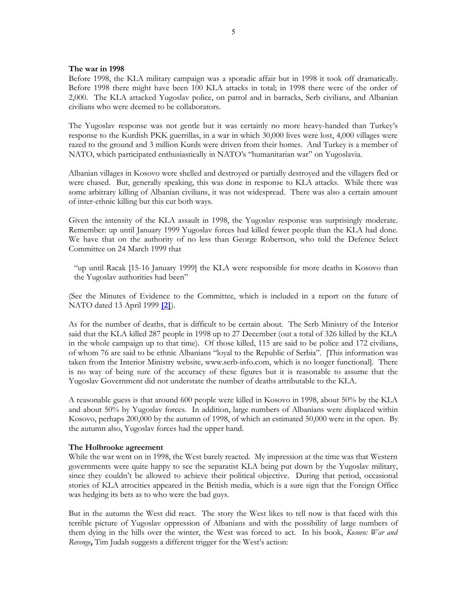#### **The war in 1998**

Before 1998, the KLA military campaign was a sporadic affair but in 1998 it took off dramatically. Before 1998 there might have been 100 KLA attacks in total; in 1998 there were of the order of 2,000. The KLA attacked Yugoslav police, on patrol and in barracks, Serb civilians, and Albanian civilians who were deemed to be collaborators.

The Yugoslav response was not gentle but it was certainly no more heavy-handed than Turkey's response to the Kurdish PKK guerrillas, in a war in which 30,000 lives were lost, 4,000 villages were razed to the ground and 3 million Kurds were driven from their homes. And Turkey is a member of NATO, which participated enthusiastically in NATO's "humanitarian war" on Yugoslavia.

Albanian villages in Kosovo were shelled and destroyed or partially destroyed and the villagers fled or were chased. But, generally speaking, this was done in response to KLA attacks. While there was some arbitrary killing of Albanian civilians, it was not widespread. There was also a certain amount of inter-ethnic killing but this cut both ways.

Given the intensity of the KLA assault in 1998, the Yugoslav response was surprisingly moderate. Remember: up until January 1999 Yugoslav forces had killed fewer people than the KLA had done. We have that on the authority of no less than George Robertson, who told the Defence Select Committee on 24 March 1999 that

"up until Racak [15-16 January 1999] the KLA were responsible for more deaths in Kosovo than the Yugoslav authorities had been"

(See the Minutes of Evidence to the Committee, which is included in a report on the future of NATO dated 13 April 1999 **[\[2\]](http://www.parliament.the-stationery-office.co.uk/pa/cm199899/cmselect/cmdfence/39/9032403.htm)**).

As for the number of deaths, that is difficult to be certain about. The Serb Ministry of the Interior said that the KLA killed 287 people in 1998 up to 27 December (out a total of 326 killed by the KLA in the whole campaign up to that time). Of those killed, 115 are said to be police and 172 civilians, of whom 76 are said to be ethnic Albanians "loyal to the Republic of Serbia". [This information was taken from the Interior Ministry website, www.serb-info.com, which is no longer functional]. There is no way of being sure of the accuracy of these figures but it is reasonable to assume that the Yugoslav Government did not understate the number of deaths attributable to the KLA.

A reasonable guess is that around 600 people were killed in Kosovo in 1998, about 50% by the KLA and about 50% by Yugoslav forces. In addition, large numbers of Albanians were displaced within Kosovo, perhaps 200,000 by the autumn of 1998, of which an estimated 50,000 were in the open. By the autumn also, Yugoslav forces had the upper hand.

#### **The Holbrooke agreement**

While the war went on in 1998, the West barely reacted. My impression at the time was that Western governments were quite happy to see the separatist KLA being put down by the Yugoslav military, since they couldn't be allowed to achieve their political objective. During that period, occasional stories of KLA atrocities appeared in the British media, which is a sure sign that the Foreign Office was hedging its bets as to who were the bad guys.

But in the autumn the West did react. The story the West likes to tell now is that faced with this terrible picture of Yugoslav oppression of Albanians and with the possibility of large numbers of them dying in the hills over the winter, the West was forced to act. In his book, *Kosovo: War and Revenge***,** Tim Judah suggests a different trigger for the West's action: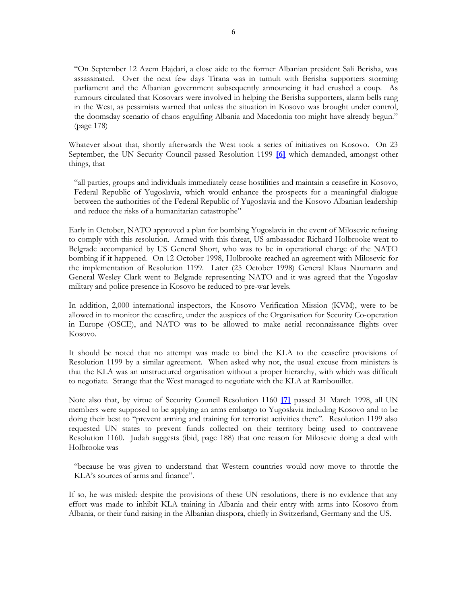"On September 12 Azem Hajdari, a close aide to the former Albanian president Sali Berisha, was assassinated. Over the next few days Tirana was in tumult with Berisha supporters storming parliament and the Albanian government subsequently announcing it had crushed a coup. As rumours circulated that Kosovars were involved in helping the Berisha supporters, alarm bells rang in the West, as pessimists warned that unless the situation in Kosovo was brought under control, the doomsday scenario of chaos engulfing Albania and Macedonia too might have already begun." (page 178)

Whatever about that, shortly afterwards the West took a series of initiatives on Kosovo. On 23 September, the UN Security Council passed Resolution 1199 **[\[6\]](http://www.david-morrison.org.uk/scrs/1998-1199.pdf)** which demanded, amongst other things, that

"all parties, groups and individuals immediately cease hostilities and maintain a ceasefire in Kosovo, Federal Republic of Yugoslavia, which would enhance the prospects for a meaningful dialogue between the authorities of the Federal Republic of Yugoslavia and the Kosovo Albanian leadership and reduce the risks of a humanitarian catastrophe"

Early in October, NATO approved a plan for bombing Yugoslavia in the event of Milosevic refusing to comply with this resolution. Armed with this threat, US ambassador Richard Holbrooke went to Belgrade accompanied by US General Short, who was to be in operational charge of the NATO bombing if it happened. On 12 October 1998, Holbrooke reached an agreement with Milosevic for the implementation of Resolution 1199. Later (25 October 1998) General Klaus Naumann and General Wesley Clark went to Belgrade representing NATO and it was agreed that the Yugoslav military and police presence in Kosovo be reduced to pre-war levels.

In addition, 2,000 international inspectors, the Kosovo Verification Mission (KVM), were to be allowed in to monitor the ceasefire, under the auspices of the Organisation for Security Co-operation in Europe (OSCE), and NATO was to be allowed to make aerial reconnaissance flights over Kosovo.

It should be noted that no attempt was made to bind the KLA to the ceasefire provisions of Resolution 1199 by a similar agreement. When asked why not, the usual excuse from ministers is that the KLA was an unstructured organisation without a proper hierarchy, with which was difficult to negotiate. Strange that the West managed to negotiate with the KLA at Rambouillet.

Note also that, by virtue of Security Council Resolution 1160 **[\[7\]](http://www.david-morrison.org.uk/scrs/1998-1160.pdf)** passed 31 March 1998, all UN members were supposed to be applying an arms embargo to Yugoslavia including Kosovo and to be doing their best to "prevent arming and training for terrorist activities there". Resolution 1199 also requested UN states to prevent funds collected on their territory being used to contravene Resolution 1160. Judah suggests (ibid, page 188) that one reason for Milosevic doing a deal with Holbrooke was

"because he was given to understand that Western countries would now move to throttle the KLA's sources of arms and finance".

If so, he was misled: despite the provisions of these UN resolutions, there is no evidence that any effort was made to inhibit KLA training in Albania and their entry with arms into Kosovo from Albania, or their fund raising in the Albanian diaspora, chiefly in Switzerland, Germany and the US.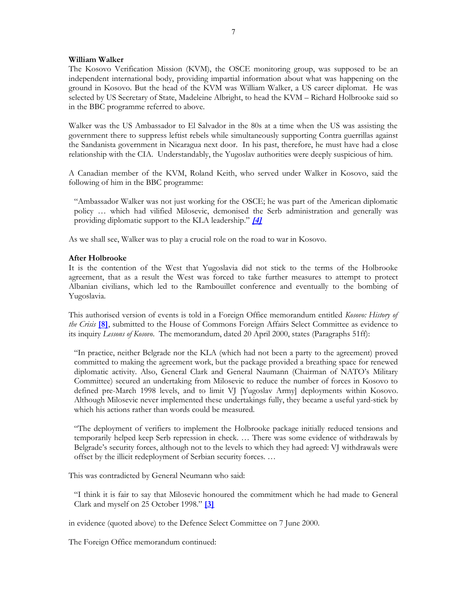# **William Walker**

The Kosovo Verification Mission (KVM), the OSCE monitoring group, was supposed to be an independent international body, providing impartial information about what was happening on the ground in Kosovo. But the head of the KVM was William Walker, a US career diplomat. He was selected by US Secretary of State, Madeleine Albright, to head the KVM – Richard Holbrooke said so in the BBC programme referred to above.

Walker was the US Ambassador to El Salvador in the 80s at a time when the US was assisting the government there to suppress leftist rebels while simultaneously supporting Contra guerrillas against the Sandanista government in Nicaragua next door. In his past, therefore, he must have had a close relationship with the CIA. Understandably, the Yugoslav authorities were deeply suspicious of him.

A Canadian member of the KVM, Roland Keith, who served under Walker in Kosovo, said the following of him in the BBC programme:

"Ambassador Walker was not just working for the OSCE; he was part of the American diplomatic policy … which had vilified Milosevic, demonised the Serb administration and generally was providing diplomatic support to the KLA leadership." **[\[4\]](http://news.bbc.co.uk/hi/english/static/events/panorama/transcripts/transcript_12_03_00.txt)**

As we shall see, Walker was to play a crucial role on the road to war in Kosovo.

# **After Holbrooke**

It is the contention of the West that Yugoslavia did not stick to the terms of the Holbrooke agreement, that as a result the West was forced to take further measures to attempt to protect Albanian civilians, which led to the Rambouillet conference and eventually to the bombing of Yugoslavia.

This authorised version of events is told in a Foreign Office memorandum entitled *Kosovo: History of the Crisis* **[\[8\]](http://www.parliament.the-stationery-office.co.uk/pa/cm199900/cmselect/cmfaff/28/9111803.htm)**, submitted to the House of Commons Foreign Affairs Select Committee as evidence to its inquiry *Lessons of Kosovo*. The memorandum, dated 20 April 2000, states (Paragraphs 51ff):

"In practice, neither Belgrade nor the KLA (which had not been a party to the agreement) proved committed to making the agreement work, but the package provided a breathing space for renewed diplomatic activity. Also, General Clark and General Naumann (Chairman of NATO's Military Committee) secured an undertaking from Milosevic to reduce the number of forces in Kosovo to defined pre-March 1998 levels, and to limit VJ [Yugoslav Army] deployments within Kosovo. Although Milosevic never implemented these undertakings fully, they became a useful yard-stick by which his actions rather than words could be measured.

"The deployment of verifiers to implement the Holbrooke package initially reduced tensions and temporarily helped keep Serb repression in check. … There was some evidence of withdrawals by Belgrade's security forces, although not to the levels to which they had agreed: VJ withdrawals were offset by the illicit redeployment of Serbian security forces. …

This was contradicted by General Neumann who said:

"I think it is fair to say that Milosevic honoured the commitment which he had made to General Clark and myself on 25 October 1998." **[\[3\]](http://www.parliament.the-stationery-office.co.uk/pa/cm199900/cmselect/cmdfence/347/0060702.htm)**

in evidence (quoted above) to the Defence Select Committee on 7 June 2000.

The Foreign Office memorandum continued: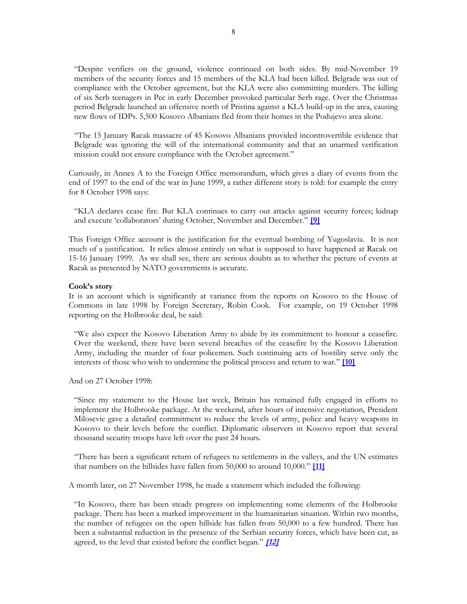"Despite verifiers on the ground, violence continued on both sides. By mid-November 19 members of the security forces and 15 members of the KLA had been killed. Belgrade was out of compliance with the October agreement, but the KLA were also committing murders. The killing of six Serb teenagers in Pec in early December provoked particular Serb rage. Over the Christmas period Belgrade launched an offensive north of Pristina against a KLA build-up in the area, causing new flows of IDPs. 5,500 Kosovo Albanians fled from their homes in the Podujevo area alone.

"The 15 January Racak massacre of 45 Kosovo Albanians provided incontrovertible evidence that Belgrade was ignoring the will of the international community and that an unarmed verification mission could not ensure compliance with the October agreement."

Curiously, in Annex A to the Foreign Office memorandum, which gives a diary of events from the end of 1997 to the end of the war in June 1999, a rather different story is told: for example the entry for 8 October 1998 says:

"KLA declares cease fire. But KLA continues to carry out attacks against security forces; kidnap and execute 'collaborators' during October, November and December." **[\[9\]](http://www.parliament.the-stationery-office.co.uk/pa/cm199900/cmselect/cmfaff/28/9111805.htm)**

This Foreign Office account is the justification for the eventual bombing of Yugoslavia. It is not much of a justification. It relies almost entirely on what is supposed to have happened at Racak on 15-16 January 1999. As we shall see, there are serious doubts as to whether the picture of events at Racak as presented by NATO governments is accurate.

#### **Cook's story**

It is an account which is significantly at variance from the reports on Kosovo to the House of Commons in late 1998 by Foreign Secretary, Robin Cook. For example, on 19 October 1998 reporting on the Holbrooke deal, he said:

"We also expect the Kosovo Liberation Army to abide by its commitment to honour a ceasefire. Over the weekend, there have been several breaches of the ceasefire by the Kosovo Liberation Army, including the murder of four policemen. Such continuing acts of hostility serve only the interests of those who wish to undermine the political process and return to war." **[\[10\]](http://www.publications.parliament.uk/pa/cm199798/cmhansrd/vo981019/debtext/81019-06.htm)**

And on 27 October 1998:

"Since my statement to the House last week, Britain has remained fully engaged in efforts to implement the Holbrooke package. At the weekend, after hours of intensive negotiation, President Milosevic gave a detailed commitment to reduce the levels of army, police and heavy weapons in Kosovo to their levels before the conflict. Diplomatic observers in Kosovo report that several thousand security troops have left over the past 24 hours.

"There has been a significant return of refugees to settlements in the valleys, and the UN estimates that numbers on the hillsides have fallen from 50,000 to around 10,000." **[\[11\]](http://www.publications.parliament.uk/pa/cm199798/cmhansrd/vo981027/debtext/81027-02.htm)**

A month later, on 27 November 1998, he made a statement which included the following:

"In Kosovo, there has been steady progress on implementing some elements of the Holbrooke package. There has been a marked improvement in the humanitarian situation. Within two months, the number of refugees on the open hillside has fallen from 50,000 to a few hundred. There has been a substantial reduction in the presence of the Serbian security forces, which have been cut, as agreed, to the level that existed before the conflict began." **[\[12 \]](http://www.publications.parliament.uk/pa/cm199899/cmhansrd/vo981127/debtext/81127-01.htm)**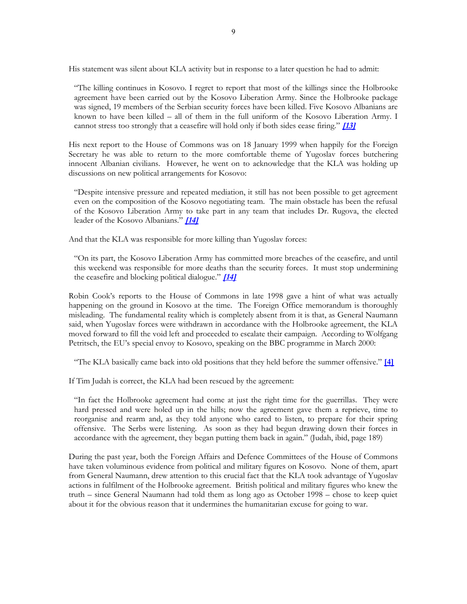His statement was silent about KLA activity but in response to a later question he had to admit:

"The killing continues in Kosovo. I regret to report that most of the killings since the Holbrooke agreement have been carried out by the Kosovo Liberation Army. Since the Holbrooke package was signed, 19 members of the Serbian security forces have been killed. Five Kosovo Albanians are known to have been killed – all of them in the full uniform of the Kosovo Liberation Army. I cannot stress too strongly that a ceasefire will hold only if both sides cease firing." **[13]** 

His next report to the House of Commons was on 18 January 1999 when happily for the Foreign Secretary he was able to return to the more comfortable theme of Yugoslav forces butchering innocent Albanian civilians. However, he went on to acknowledge that the KLA was holding up discussions on new political arrangements for Kosovo:

"Despite intensive pressure and repeated mediation, it still has not been possible to get agreement even on the composition of the Kosovo negotiating team. The main obstacle has been the refusal of the Kosovo Liberation Army to take part in any team that includes Dr. Rugova, the elected leader of the Kosovo Albanians." **[\[14 \]](http://www.publications.parliament.uk/pa/cm199899/cmhansrd/vo990118/debtext/90118-06.htm)**

And that the KLA was responsible for more killing than Yugoslav forces:

"On its part, the Kosovo Liberation Army has committed more breaches of the ceasefire, and until this weekend was responsible for more deaths than the security forces. It must stop undermining the ceasefire and blocking political dialogue." **[\[14 \]](http://www.publications.parliament.uk/pa/cm199899/cmhansrd/vo990118/debtext/90118-06.htm)**

Robin Cook's reports to the House of Commons in late 1998 gave a hint of what was actually happening on the ground in Kosovo at the time. The Foreign Office memorandum is thoroughly misleading. The fundamental reality which is completely absent from it is that, as General Naumann said, when Yugoslav forces were withdrawn in accordance with the Holbrooke agreement, the KLA moved forward to fill the void left and proceeded to escalate their campaign. According to Wolfgang Petritsch, the EU's special envoy to Kosovo, speaking on the BBC programme in March 2000:

"The KLA basically came back into old positions that they held before the summer offensive." **[\[4\]](http://news.bbc.co.uk/hi/english/static/events/panorama/transcripts/transcript_12_03_00.txt)**

If Tim Judah is correct, the KLA had been rescued by the agreement:

"In fact the Holbrooke agreement had come at just the right time for the guerrillas. They were hard pressed and were holed up in the hills; now the agreement gave them a reprieve, time to reorganise and rearm and, as they told anyone who cared to listen, to prepare for their spring offensive. The Serbs were listening. As soon as they had begun drawing down their forces in accordance with the agreement, they began putting them back in again." (Judah, ibid, page 189)

During the past year, both the Foreign Affairs and Defence Committees of the House of Commons have taken voluminous evidence from political and military figures on Kosovo. None of them, apart from General Naumann, drew attention to this crucial fact that the KLA took advantage of Yugoslav actions in fulfilment of the Holbrooke agreement. British political and military figures who knew the truth – since General Naumann had told them as long ago as October 1998 – chose to keep quiet about it for the obvious reason that it undermines the humanitarian excuse for going to war.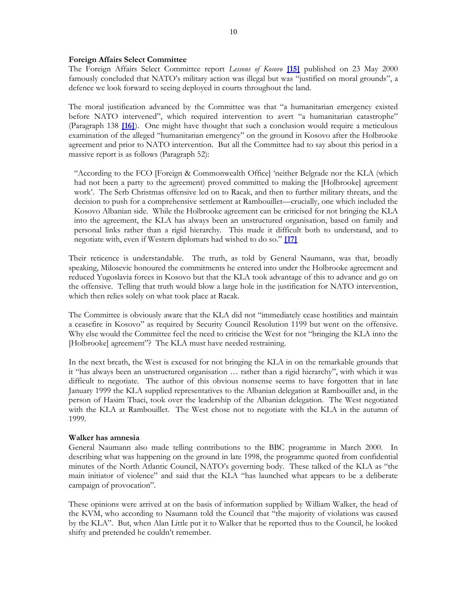#### **Foreign Affairs Select Committee**

The Foreign Affairs Select Committee report *Lessons of Kosovo* **[\[15\]](http://www.publications.parliament.uk/pa/cm199900/cmselect/cmfaff/28/2802.htm)** published on 23 May 2000 famously concluded that NATO's military action was illegal but was "justified on moral grounds", a defence we look forward to seeing deployed in courts throughout the land.

The moral justification advanced by the Committee was that "a humanitarian emergency existed before NATO intervened", which required intervention to avert "a humanitarian catastrophe" (Paragraph 138 **[\[16\]](http://www.publications.parliament.uk/pa/cm199900/cmselect/cmfaff/28/2813.htm)**). One might have thought that such a conclusion would require a meticulous examination of the alleged "humanitarian emergency" on the ground in Kosovo after the Holbrooke agreement and prior to NATO intervention. But all the Committee had to say about this period in a massive report is as follows (Paragraph 52):

"According to the FCO [Foreign & Commonwealth Office] 'neither Belgrade nor the KLA (which had not been a party to the agreement) proved committed to making the [Holbrooke] agreement work'. The Serb Christmas offensive led on to Racak, and then to further military threats, and the decision to push for a comprehensive settlement at Rambouillet—crucially, one which included the Kosovo Albanian side. While the Holbrooke agreement can be criticised for not bringing the KLA into the agreement, the KLA has always been an unstructured organisation, based on family and personal links rather than a rigid hierarchy. This made it difficult both to understand, and to negotiate with, even if Western diplomats had wished to do so." **[\[17\]](http://www.publications.parliament.uk/pa/cm199900/cmselect/cmfaff/28/2809.htm)**

Their reticence is understandable. The truth, as told by General Naumann, was that, broadly speaking, Milosevic honoured the commitments he entered into under the Holbrooke agreement and reduced Yugoslavia forces in Kosovo but that the KLA took advantage of this to advance and go on the offensive. Telling that truth would blow a large hole in the justification for NATO intervention, which then relies solely on what took place at Racak.

The Committee is obviously aware that the KLA did not "immediately cease hostilities and maintain a ceasefire in Kosovo" as required by Security Council Resolution 1199 but went on the offensive. Why else would the Committee feel the need to criticise the West for not "bringing the KLA into the [Holbrooke] agreement"? The KLA must have needed restraining.

In the next breath, the West is excused for not bringing the KLA in on the remarkable grounds that it "has always been an unstructured organisation … rather than a rigid hierarchy", with which it was difficult to negotiate. The author of this obvious nonsense seems to have forgotten that in late January 1999 the KLA supplied representatives to the Albanian delegation at Rambouillet and, in the person of Hasim Thaci, took over the leadership of the Albanian delegation. The West negotiated with the KLA at Rambouillet. The West chose not to negotiate with the KLA in the autumn of 1999.

# **Walker has amnesia**

General Naumann also made telling contributions to the BBC programme in March 2000. In describing what was happening on the ground in late 1998, the programme quoted from confidential minutes of the North Atlantic Council, NATO's governing body. These talked of the KLA as "the main initiator of violence" and said that the KLA "has launched what appears to be a deliberate campaign of provocation".

These opinions were arrived at on the basis of information supplied by William Walker, the head of the KVM, who according to Naumann told the Council that "the majority of violations was caused by the KLA". But, when Alan Little put it to Walker that he reported thus to the Council, he looked shifty and pretended he couldn't remember.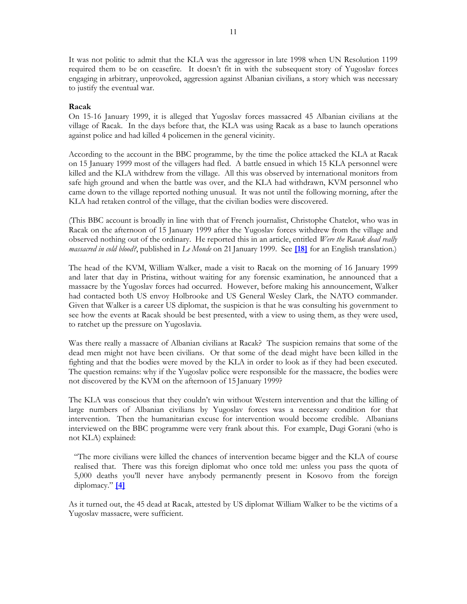It was not politic to admit that the KLA was the aggressor in late 1998 when UN Resolution 1199 required them to be on ceasefire. It doesn't fit in with the subsequent story of Yugoslav forces engaging in arbitrary, unprovoked, aggression against Albanian civilians, a story which was necessary to justify the eventual war.

# **Racak**

On 15-16 January 1999, it is alleged that Yugoslav forces massacred 45 Albanian civilians at the village of Racak. In the days before that, the KLA was using Racak as a base to launch operations against police and had killed 4 policemen in the general vicinity.

According to the account in the BBC programme, by the time the police attacked the KLA at Racak on 15 January 1999 most of the villagers had fled. A battle ensued in which 15 KLA personnel were killed and the KLA withdrew from the village. All this was observed by international monitors from safe high ground and when the battle was over, and the KLA had withdrawn, KVM personnel who came down to the village reported nothing unusual. It was not until the following morning, after the KLA had retaken control of the village, that the civilian bodies were discovered.

(This BBC account is broadly in line with that of French journalist, Christophe Chatelot, who was in Racak on the afternoon of 15 January 1999 after the Yugoslav forces withdrew from the village and observed nothing out of the ordinary. He reported this in an article, entitled *Were the Racak dead really massacred in cold blood?*, published in *Le Monde* on 21 January 1999. See **[\[18\]](http://www.david-morrison.org.uk/kosovo/le-monde-on-racak-19990121.htm)** for an English translation.)

The head of the KVM, William Walker, made a visit to Racak on the morning of 16 January 1999 and later that day in Pristina, without waiting for any forensic examination, he announced that a massacre by the Yugoslav forces had occurred. However, before making his announcement, Walker had contacted both US envoy Holbrooke and US General Wesley Clark, the NATO commander. Given that Walker is a career US diplomat, the suspicion is that he was consulting his government to see how the events at Racak should be best presented, with a view to using them, as they were used, to ratchet up the pressure on Yugoslavia.

Was there really a massacre of Albanian civilians at Racak? The suspicion remains that some of the dead men might not have been civilians. Or that some of the dead might have been killed in the fighting and that the bodies were moved by the KLA in order to look as if they had been executed. The question remains: why if the Yugoslav police were responsible for the massacre, the bodies were not discovered by the KVM on the afternoon of 15 January 1999?

The KLA was conscious that they couldn't win without Western intervention and that the killing of large numbers of Albanian civilians by Yugoslav forces was a necessary condition for that intervention. Then the humanitarian excuse for intervention would become credible. Albanians interviewed on the BBC programme were very frank about this. For example, Dugi Gorani (who is not KLA) explained:

"The more civilians were killed the chances of intervention became bigger and the KLA of course realised that. There was this foreign diplomat who once told me: unless you pass the quota of 5,000 deaths you'll never have anybody permanently present in Kosovo from the foreign diplomacy." **[\[4\]](http://news.bbc.co.uk/hi/english/static/events/panorama/transcripts/transcript_12_03_00.txt)**

As it turned out, the 45 dead at Racak, attested by US diplomat William Walker to be the victims of a Yugoslav massacre, were sufficient.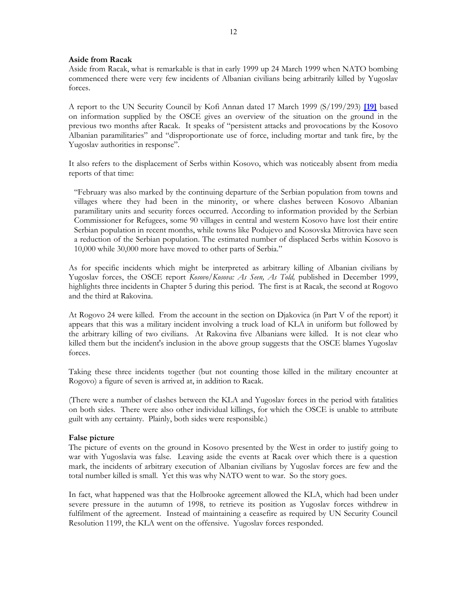# **Aside from Racak**

Aside from Racak, what is remarkable is that in early 1999 up 24 March 1999 when NATO bombing commenced there were very few incidents of Albanian civilians being arbitrarily killed by Yugoslav forces.

A report to the UN Security Council by Kofi Annan dated 17 March 1999 (S/199/293) **[\[19\]](http://www.david-morrison.org.uk/other-documents/annan-s1999-0293.htm)** based on information supplied by the OSCE gives an overview of the situation on the ground in the previous two months after Racak. It speaks of "persistent attacks and provocations by the Kosovo Albanian paramilitaries" and "disproportionate use of force, including mortar and tank fire, by the Yugoslav authorities in response".

It also refers to the displacement of Serbs within Kosovo, which was noticeably absent from media reports of that time:

"February was also marked by the continuing departure of the Serbian population from towns and villages where they had been in the minority, or where clashes between Kosovo Albanian paramilitary units and security forces occurred. According to information provided by the Serbian Commissioner for Refugees, some 90 villages in central and western Kosovo have lost their entire Serbian population in recent months, while towns like Podujevo and Kosovska Mitrovica have seen a reduction of the Serbian population. The estimated number of displaced Serbs within Kosovo is 10,000 while 30,000 more have moved to other parts of Serbia."

As for specific incidents which might be interpreted as arbitrary killing of Albanian civilians by Yugoslav forces, the OSCE report *Kosovo/Kosova: As Seen, As Told,* published in December 1999, highlights three incidents in Chapter 5 during this period. The first is at Racak, the second at Rogovo and the third at Rakovina.

At Rogovo 24 were killed. From the account in the section on Djakovica (in Part V of the report) it appears that this was a military incident involving a truck load of KLA in uniform but followed by the arbitrary killing of two civilians. At Rakovina five Albanians were killed. It is not clear who killed them but the incident's inclusion in the above group suggests that the OSCE blames Yugoslav forces.

Taking these three incidents together (but not counting those killed in the military encounter at Rogovo) a figure of seven is arrived at, in addition to Racak.

(There were a number of clashes between the KLA and Yugoslav forces in the period with fatalities on both sides. There were also other individual killings, for which the OSCE is unable to attribute guilt with any certainty. Plainly, both sides were responsible.)

#### **False picture**

The picture of events on the ground in Kosovo presented by the West in order to justify going to war with Yugoslavia was false. Leaving aside the events at Racak over which there is a question mark, the incidents of arbitrary execution of Albanian civilians by Yugoslav forces are few and the total number killed is small. Yet this was why NATO went to war. So the story goes.

In fact, what happened was that the Holbrooke agreement allowed the KLA, which had been under severe pressure in the autumn of 1998, to retrieve its position as Yugoslav forces withdrew in fulfilment of the agreement. Instead of maintaining a ceasefire as required by UN Security Council Resolution 1199, the KLA went on the offensive. Yugoslav forces responded.